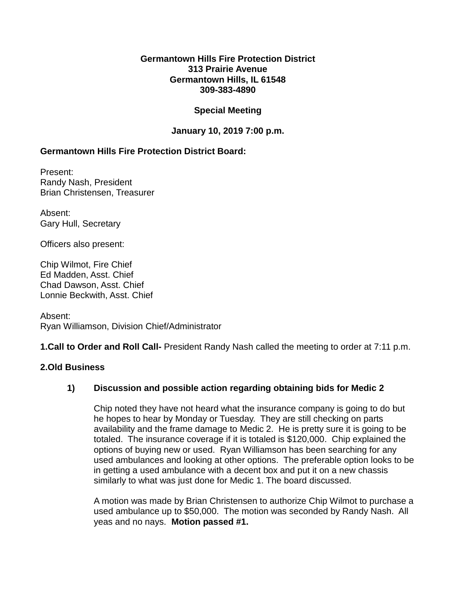#### **Germantown Hills Fire Protection District 313 Prairie Avenue Germantown Hills, IL 61548 309-383-4890**

# **Special Meeting**

# **January 10, 2019 7:00 p.m.**

# **Germantown Hills Fire Protection District Board:**

Present: Randy Nash, President Brian Christensen, Treasurer

Absent: Gary Hull, Secretary

Officers also present:

Chip Wilmot, Fire Chief Ed Madden, Asst. Chief Chad Dawson, Asst. Chief Lonnie Beckwith, Asst. Chief

Absent: Ryan Williamson, Division Chief/Administrator

**1.Call to Order and Roll Call-** President Randy Nash called the meeting to order at 7:11 p.m.

# **2.Old Business**

# **1) Discussion and possible action regarding obtaining bids for Medic 2**

Chip noted they have not heard what the insurance company is going to do but he hopes to hear by Monday or Tuesday. They are still checking on parts availability and the frame damage to Medic 2. He is pretty sure it is going to be totaled. The insurance coverage if it is totaled is \$120,000. Chip explained the options of buying new or used. Ryan Williamson has been searching for any used ambulances and looking at other options. The preferable option looks to be in getting a used ambulance with a decent box and put it on a new chassis similarly to what was just done for Medic 1. The board discussed.

A motion was made by Brian Christensen to authorize Chip Wilmot to purchase a used ambulance up to \$50,000. The motion was seconded by Randy Nash. All yeas and no nays. **Motion passed #1.**